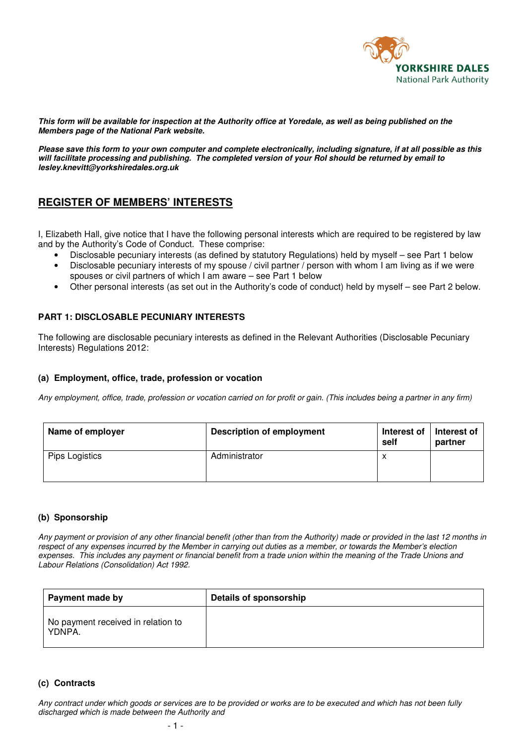

**This form will be available for inspection at the Authority office at Yoredale, as well as being published on the Members page of the National Park website.** 

**Please save this form to your own computer and complete electronically, including signature, if at all possible as this will facilitate processing and publishing. The completed version of your RoI should be returned by email to lesley.knevitt@yorkshiredales.org.uk** 

# **REGISTER OF MEMBERS' INTERESTS**

I, Elizabeth Hall, give notice that I have the following personal interests which are required to be registered by law and by the Authority's Code of Conduct. These comprise:

- Disclosable pecuniary interests (as defined by statutory Regulations) held by myself see Part 1 below
- Disclosable pecuniary interests of my spouse / civil partner / person with whom I am living as if we were spouses or civil partners of which I am aware – see Part 1 below
- Other personal interests (as set out in the Authority's code of conduct) held by myself see Part 2 below.

## **PART 1: DISCLOSABLE PECUNIARY INTERESTS**

The following are disclosable pecuniary interests as defined in the Relevant Authorities (Disclosable Pecuniary Interests) Regulations 2012:

## **(a) Employment, office, trade, profession or vocation**

*Any employment, office, trade, profession or vocation carried on for profit or gain. (This includes being a partner in any firm)* 

| Name of employer | <b>Description of employment</b> | Interest of<br>self | Interest of<br>partner |
|------------------|----------------------------------|---------------------|------------------------|
| Pips Logistics   | Administrator                    | $\lambda$           |                        |

## **(b) Sponsorship**

*Any payment or provision of any other financial benefit (other than from the Authority) made or provided in the last 12 months in respect of any expenses incurred by the Member in carrying out duties as a member, or towards the Member's election expenses. This includes any payment or financial benefit from a trade union within the meaning of the Trade Unions and Labour Relations (Consolidation) Act 1992.* 

| Payment made by                              | Details of sponsorship |
|----------------------------------------------|------------------------|
| No payment received in relation to<br>YDNPA. |                        |

## **(c) Contracts**

*Any contract under which goods or services are to be provided or works are to be executed and which has not been fully discharged which is made between the Authority and*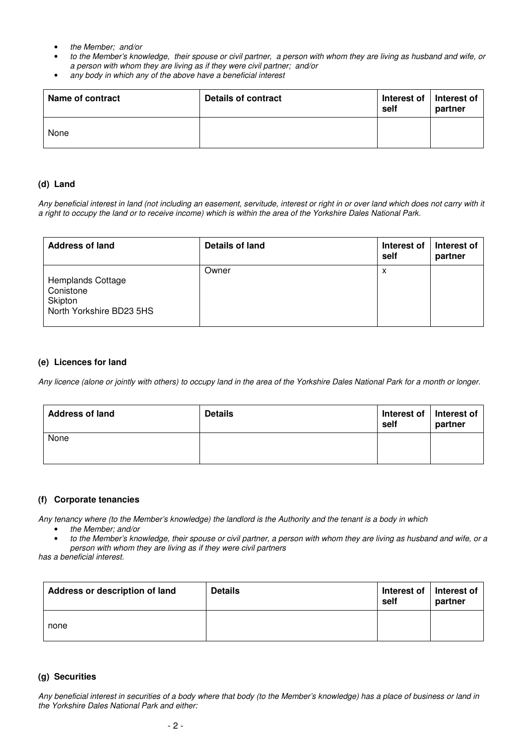- *the Member; and/or*
- *to the Member's knowledge, their spouse or civil partner, a person with whom they are living as husband and wife, or a person with whom they are living as if they were civil partner; and/or*
- *any body in which any of the above have a beneficial interest*

| Name of contract | Details of contract | Interest of $\vert$<br>self | Interest of<br>partner |
|------------------|---------------------|-----------------------------|------------------------|
| None             |                     |                             |                        |

#### **(d) Land**

*Any beneficial interest in land (not including an easement, servitude, interest or right in or over land which does not carry with it a right to occupy the land or to receive income) which is within the area of the Yorkshire Dales National Park.* 

| <b>Address of land</b>                                                | Details of land | Interest of<br>self | Interest of<br>partner |
|-----------------------------------------------------------------------|-----------------|---------------------|------------------------|
| Hemplands Cottage<br>Conistone<br>Skipton<br>North Yorkshire BD23 5HS | Owner           | X                   |                        |

#### **(e) Licences for land**

*Any licence (alone or jointly with others) to occupy land in the area of the Yorkshire Dales National Park for a month or longer.* 

| <b>Address of land</b> | <b>Details</b> | Interest of   Interest of<br>self | partner |
|------------------------|----------------|-----------------------------------|---------|
| None                   |                |                                   |         |

#### **(f) Corporate tenancies**

*Any tenancy where (to the Member's knowledge) the landlord is the Authority and the tenant is a body in which* 

- *the Member; and/or*
- *to the Member's knowledge, their spouse or civil partner, a person with whom they are living as husband and wife, or a person with whom they are living as if they were civil partners*

*has a beneficial interest.* 

| Address or description of land | <b>Details</b> | Interest of<br>self | Interest of<br>partner |
|--------------------------------|----------------|---------------------|------------------------|
| none                           |                |                     |                        |

#### **(g) Securities**

*Any beneficial interest in securities of a body where that body (to the Member's knowledge) has a place of business or land in the Yorkshire Dales National Park and either:*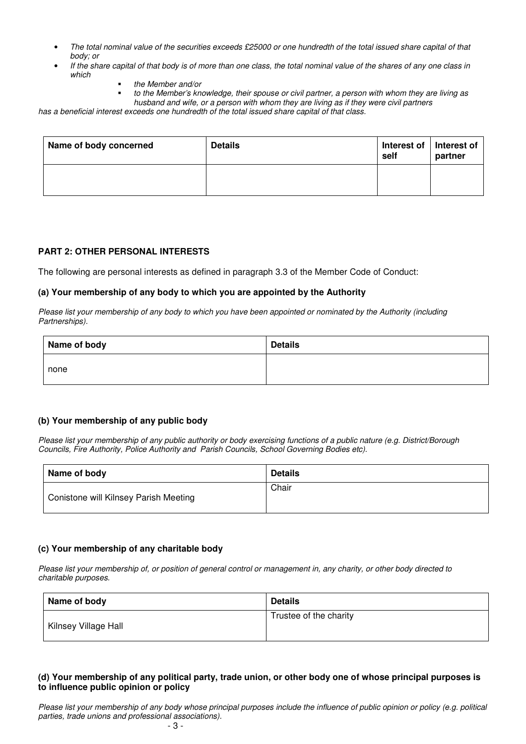- *The total nominal value of the securities exceeds £25000 or one hundredth of the total issued share capital of that body; or*
- *If the share capital of that body is of more than one class, the total nominal value of the shares of any one class in which* 
	- *the Member and/or*
	- *to the Member's knowledge, their spouse or civil partner, a person with whom they are living as husband and wife, or a person with whom they are living as if they were civil partners*

*has a beneficial interest exceeds one hundredth of the total issued share capital of that class.* 

| Name of body concerned | <b>Details</b> | Interest of   Interest of<br>self | partner |
|------------------------|----------------|-----------------------------------|---------|
|                        |                |                                   |         |

#### **PART 2: OTHER PERSONAL INTERESTS**

The following are personal interests as defined in paragraph 3.3 of the Member Code of Conduct:

#### **(a) Your membership of any body to which you are appointed by the Authority**

*Please list your membership of any body to which you have been appointed or nominated by the Authority (including Partnerships).* 

| Name of body | <b>Details</b> |
|--------------|----------------|
| none         |                |

## **(b) Your membership of any public body**

*Please list your membership of any public authority or body exercising functions of a public nature (e.g. District/Borough Councils, Fire Authority, Police Authority and Parish Councils, School Governing Bodies etc).*

| Name of body                          | <b>Details</b> |
|---------------------------------------|----------------|
| Conistone will Kilnsey Parish Meeting | Chair          |

## **(c) Your membership of any charitable body**

*Please list your membership of, or position of general control or management in, any charity, or other body directed to charitable purposes.* 

| Name of body         | <b>Details</b>         |
|----------------------|------------------------|
| Kilnsey Village Hall | Trustee of the charity |

## **(d) Your membership of any political party, trade union, or other body one of whose principal purposes is to influence public opinion or policy**

*Please list your membership of any body whose principal purposes include the influence of public opinion or policy (e.g. political parties, trade unions and professional associations).*